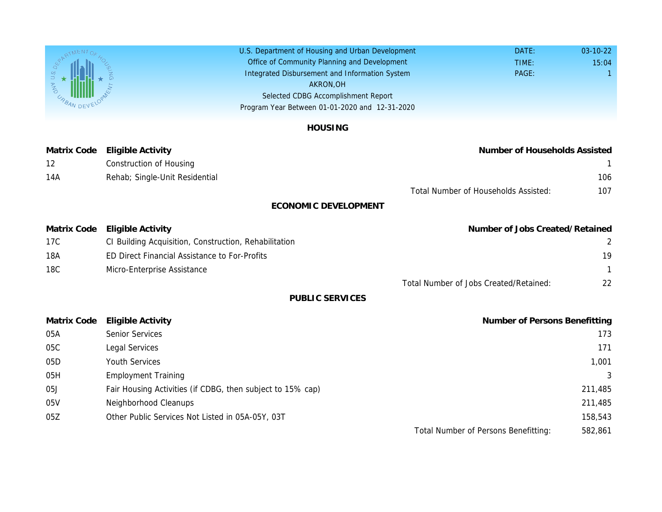U.S. Department of Housing and Urban Development Office of Community Planning and Development Integrated Disbursement and Information System Selected CDBG Accomplishment Report Program Year Between 01-01-2020 and 12-31-2020 AKRON,OH

## HOUSING

Matrix Code Eligible Activity **Number** of Households Assisted Assisted Assisted Assisted Assisted Assisted Assist 12 **Construction of Housing** 14A Rehab; Single-Unit Residential

Total Number of Household

## ECONOMIC DEVELOPMENT

| Matrix Code | Eligible Activity                                     | Number of J |
|-------------|-------------------------------------------------------|-------------|
| 17C         | CI Building Acquisition, Construction, Rehabilitation |             |
| 18A         | <b>ED Direct Financial Assistance to For-Profits</b>  |             |
| 18C         | Micro-Enterprise Assistance                           |             |

Total Number of Jobs Created

PUBLIC SERVICES

| <b>Matrix Code</b> | Eligible Activity                                          | Number |
|--------------------|------------------------------------------------------------|--------|
| 05A                | <b>Senior Services</b>                                     |        |
| 05C                | Legal Services                                             |        |
| 05D                | <b>Youth Services</b>                                      |        |
| 05H                | <b>Employment Training</b>                                 |        |
| 05J                | Fair Housing Activities (if CDBG, then subject to 15% cap) |        |
| 05V                | Neighborhood Cleanups                                      |        |
| 05Z                | Other Public Services Not Listed in 05A-05Y, 03T           |        |
|                    |                                                            |        |

Total Number of Persons I